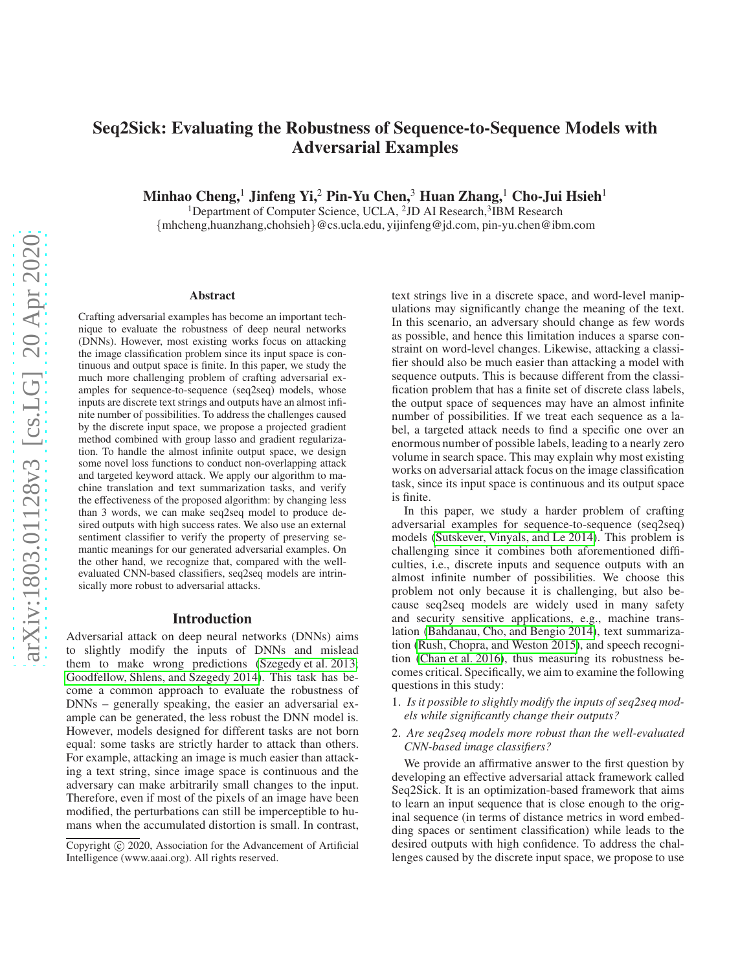# Seq2Sick: Evaluating the Robustness of Sequence-to-Sequence Models with Adversarial Examples

Minhao Cheng,<sup>1</sup> Jinfeng Yi,<sup>2</sup> Pin-Yu Chen,<sup>3</sup> Huan Zhang,<sup>1</sup> Cho-Jui Hsieh<sup>1</sup>

<sup>1</sup>Department of Computer Science, UCLA, <sup>2</sup>JD AI Research,<sup>3</sup>IBM Research {mhcheng,huanzhang,chohsieh}@cs.ucla.edu, yijinfeng@jd.com, pin-yu.chen@ibm.com

#### Abstract

Crafting adversarial examples has become an important technique to evaluate the robustness of deep neural networks (DNNs). However, most existing works focus on attacking the image classification problem since its input space is continuous and output space is finite. In this paper, we study the much more challenging problem of crafting adversarial examples for sequence-to-sequence (seq2seq) models, whose inputs are discrete text strings and outputs have an almost infinite number of possibilities. To address the challenges caused by the discrete input space, we propose a projected gradient method combined with group lasso and gradient regularization. To handle the almost infinite output space, we design some novel loss functions to conduct non-overlapping attack and targeted keyword attack. We apply our algorithm to machine translation and text summarization tasks, and verify the effectiveness of the proposed algorithm: by changing less than 3 words, we can make seq2seq model to produce desired outputs with high success rates. We also use an external sentiment classifier to verify the property of preserving semantic meanings for our generated adversarial examples. On the other hand, we recognize that, compared with the wellevaluated CNN-based classifiers, seq2seq models are intrinsically more robust to adversarial attacks.

#### Introduction

Adversarial attack on deep neural networks (DNNs) aims to slightly modify the inputs of DNNs and mislead them to make wrong predictions (Szegedy et al. 2013; [Goodfellow, Shlens, and Szegedy 2014\)](#page-7-0). This task has become a common approach to evaluate the robustness of DNNs – generally speaking, the easier an adversarial example can be generated, the less robust the DNN model is. However, models designed for different tasks are not born equal: some tasks are strictly harder to attack than others. For example, attacking an image is much easier than attacking a text string, since image space is continuous and the adversary can make arbitrarily small changes to the input. Therefore, even if most of the pixels of an image have been modified, the perturbations can still be imperceptible to humans when the accumulated distortion is small. In contrast,

text strings live in a discrete space, and word-level manipulations may significantly change the meaning of the text. In this scenario, an adversary should change as few words as possible, and hence this limitation induces a sparse constraint on word-level changes. Likewise, attacking a classifier should also be much easier than attacking a model with sequence outputs. This is because different from the classification problem that has a finite set of discrete class labels, the output space of sequences may have an almost infinite number of possibilities. If we treat each sequence as a label, a targeted attack needs to find a specific one over an enormous number of possible labels, leading to a nearly zero volume in search space. This may explain why most existing works on adversarial attack focus on the image classification task, since its input space is continuous and its output space is finite.

In this paper, we study a harder problem of crafting adversarial examples for sequence-to-sequence (seq2seq) models (Sutskever, Vinyals, and Le 2014). This problem is challenging since it combines both aforementioned difficulties, i.e., discrete inputs and sequence outputs with an almost infinite number of possibilities. We choose this problem not only because it is challenging, but also because seq2seq models are widely used in many safety and security sensitive applications, e.g., machine translation [\(Bahdanau, Cho, and Bengio 2014\)](#page-7-1), text summarization [\(Rush, Chopra, and Weston 2015\)](#page-7-2), and speech recognition [\(Chan et al. 2016\)](#page-7-3), thus measuring its robustness becomes critical. Specifically, we aim to examine the following questions in this study:

- 1. *Is it possible to slightly modify the inputs of seq2seq models while significantly change their outputs?*
- 2. *Are seq2seq models more robust than the well-evaluated CNN-based image classifiers?*

We provide an affirmative answer to the first question by developing an effective adversarial attack framework called Seq2Sick. It is an optimization-based framework that aims to learn an input sequence that is close enough to the original sequence (in terms of distance metrics in word embedding spaces or sentiment classification) while leads to the desired outputs with high confidence. To address the challenges caused by the discrete input space, we propose to use

Copyright (c) 2020, Association for the Advancement of Artificial Intelligence (www.aaai.org). All rights reserved.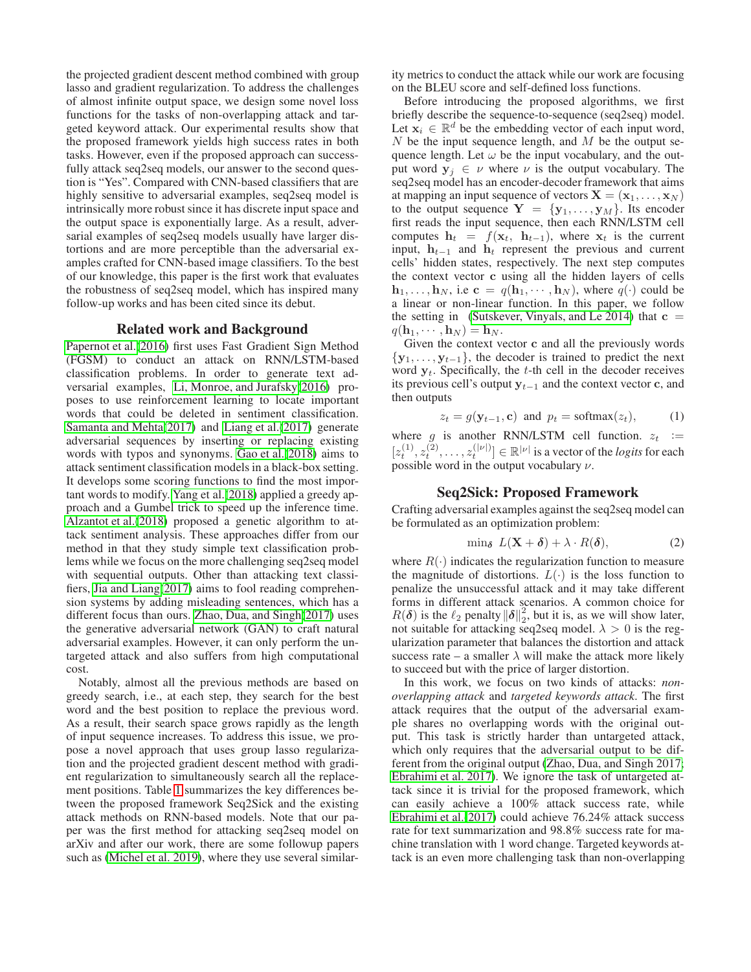the projected gradient descent method combined with group lasso and gradient regularization. To address the challenges of almost infinite output space, we design some novel loss functions for the tasks of non-overlapping attack and targeted keyword attack. Our experimental results show that the proposed framework yields high success rates in both tasks. However, even if the proposed approach can successfully attack seq2seq models, our answer to the second question is "Yes". Compared with CNN-based classifiers that are highly sensitive to adversarial examples, seq2seq model is intrinsically more robust since it has discrete input space and the output space is exponentially large. As a result, adversarial examples of seq2seq models usually have larger distortions and are more perceptible than the adversarial examples crafted for CNN-based image classifiers. To the best of our knowledge, this paper is the first work that evaluates the robustness of seq2seq model, which has inspired many follow-up works and has been cited since its debut.

### Related work and Background

[Papernot et al.\(2016\)](#page-7-4) first uses Fast Gradient Sign Method (FGSM) to conduct an attack on RNN/LSTM-based classification problems. In order to generate text adversarial examples, [Li, Monroe, and Jurafsky\(2016\)](#page-7-5) proposes to use reinforcement learning to locate important words that could be deleted in sentiment classification. [Samanta and Mehta\(2017\)](#page-7-6) and [Liang et al.\(2017\)](#page-7-7) generate adversarial sequences by inserting or replacing existing words with typos and synonyms. [Gao et al.\(2018\)](#page-7-8) aims to attack sentiment classification models in a black-box setting. It develops some scoring functions to find the most important words to modify. [Yang et al.\(2018\)](#page-7-9) applied a greedy approach and a Gumbel trick to speed up the inference time. [Alzantot et al.\(2018\)](#page-7-10) proposed a genetic algorithm to attack sentiment analysis. These approaches differ from our method in that they study simple text classification problems while we focus on the more challenging seq2seq model with sequential outputs. Other than attacking text classifiers, [Jia and Liang\(2017\)](#page-7-11) aims to fool reading comprehension systems by adding misleading sentences, which has a different focus than ours. [Zhao, Dua, and Singh\(2017\)](#page-7-12) uses the generative adversarial network (GAN) to craft natural adversarial examples. However, it can only perform the untargeted attack and also suffers from high computational cost.

Notably, almost all the previous methods are based on greedy search, i.e., at each step, they search for the best word and the best position to replace the previous word. As a result, their search space grows rapidly as the length of input sequence increases. To address this issue, we propose a novel approach that uses group lasso regularization and the projected gradient descent method with gradient regularization to simultaneously search all the replacement positions. Table [1](#page-2-0) summarizes the key differences between the proposed framework Seq2Sick and the existing attack methods on RNN-based models. Note that our paper was the first method for attacking seq2seq model on arXiv and after our work, there are some followup papers such as [\(Michel et al. 2019\)](#page-7-13), where they use several similar-

ity metrics to conduct the attack while our work are focusing on the BLEU score and self-defined loss functions.

Before introducing the proposed algorithms, we first briefly describe the sequence-to-sequence (seq2seq) model. Let  $x_i \in \mathbb{R}^d$  be the embedding vector of each input word,  $N$  be the input sequence length, and  $M$  be the output sequence length. Let  $\omega$  be the input vocabulary, and the output word  $y_i \in \nu$  where  $\nu$  is the output vocabulary. The seq2seq model has an encoder-decoder framework that aims at mapping an input sequence of vectors  $X = (x_1, \dots, x_N)$ to the output sequence  $Y = \{y_1, \ldots, y_M\}$ . Its encoder first reads the input sequence, then each RNN/LSTM cell computes  $h_t = f(x_t, h_{t-1})$ , where  $x_t$  is the current input,  $h_{t-1}$  and  $h_t$  represent the previous and current cells' hidden states, respectively. The next step computes the context vector c using all the hidden layers of cells  $\mathbf{h}_1, \ldots, \mathbf{h}_N$ , i.e  $\mathbf{c} = q(\mathbf{h}_1, \cdots, \mathbf{h}_N)$ , where  $q(\cdot)$  could be a linear or non-linear function. In this paper, we follow the setting in (Sutskever, Vinyals, and Le 2014) that  $c =$  $q(\mathbf{h}_1, \cdots, \mathbf{h}_N) = \mathbf{h}_N$ .

Given the context vector c and all the previously words  ${y_1, \ldots, y_{t-1}}$ , the decoder is trained to predict the next word  $y_t$ . Specifically, the t-th cell in the decoder receives its previous cell's output  $y_{t-1}$  and the context vector c, and then outputs

$$
z_t = g(\mathbf{y}_{t-1}, \mathbf{c}) \text{ and } p_t = \text{softmax}(z_t), \quad (1)
$$

where g is another RNN/LSTM cell function.  $z_t$  :=  $[z_t^{(1)}, z_t^{(2)}, \dots, z_t^{(|\nu|)}] \in \mathbb{R}^{|\nu|}$  is a vector of the *logits* for each possible word in the output vocabulary  $\nu$ .

### Seq2Sick: Proposed Framework

Crafting adversarial examples against the seq2seq model can be formulated as an optimization problem:

<span id="page-1-0"></span>
$$
\min_{\delta} \ L(\mathbf{X} + \delta) + \lambda \cdot R(\delta), \tag{2}
$$

where  $R(\cdot)$  indicates the regularization function to measure the magnitude of distortions.  $L(\cdot)$  is the loss function to penalize the unsuccessful attack and it may take different forms in different attack scenarios. A common choice for  $R(\boldsymbol{\delta})$  is the  $\ell_2$  penalty  $\|\boldsymbol{\delta}\|_2^2$  $2<sub>2</sub>$ , but it is, as we will show later, not suitable for attacking seq2seq model.  $\lambda > 0$  is the regularization parameter that balances the distortion and attack success rate – a smaller  $\lambda$  will make the attack more likely to succeed but with the price of larger distortion.

In this work, we focus on two kinds of attacks: *nonoverlapping attack* and *targeted keywords attack*. The first attack requires that the output of the adversarial example shares no overlapping words with the original output. This task is strictly harder than untargeted attack, which only requires that the adversarial output to be different from the original output [\(Zhao, Dua, and Singh 2017;](#page-7-12) [Ebrahimi et al. 2017\)](#page-7-14). We ignore the task of untargeted attack since it is trivial for the proposed framework, which can easily achieve a 100% attack success rate, while [Ebrahimi et al.\(2017\)](#page-7-14) could achieve 76.24% attack success rate for text summarization and 98.8% success rate for machine translation with 1 word change. Targeted keywords attack is an even more challenging task than non-overlapping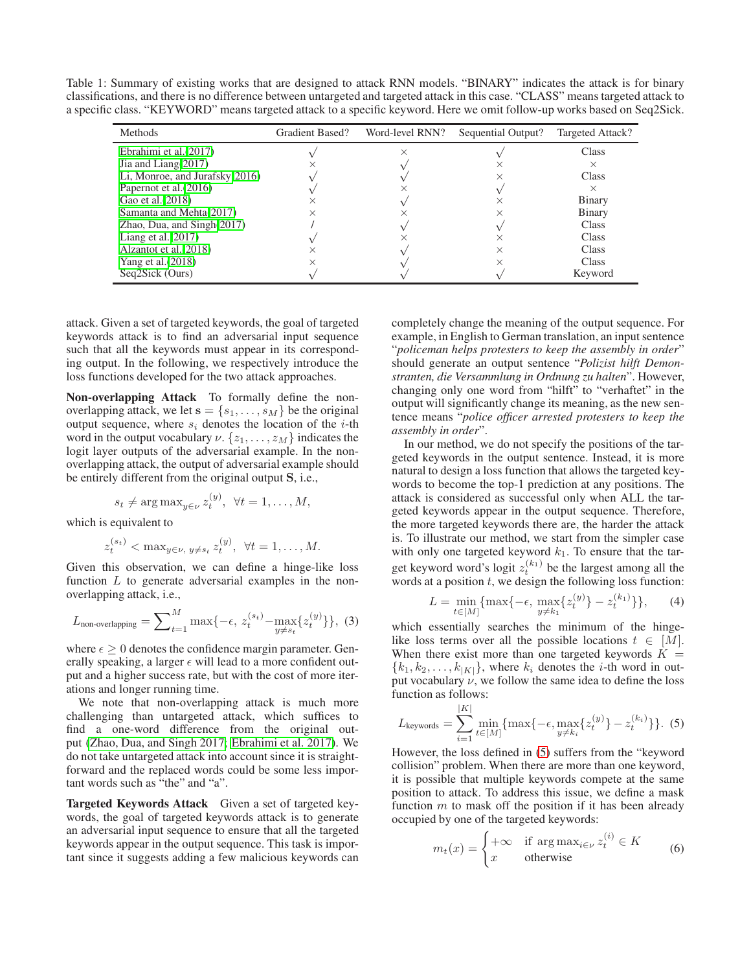Table 1: Summary of existing works that are designed to attack RNN models. "BINARY" indicates the attack is for binary classifications, and there is no difference between untargeted and targeted attack in this case. "CLASS" means targeted attack to a specific class. "KEYWORD" means targeted attack to a specific keyword. Here we omit follow-up works based on Seq2Sick.

<span id="page-2-0"></span>

| Methods                        | Gradient Based? | Word-level RNN? | Sequential Output? | Targeted Attack? |
|--------------------------------|-----------------|-----------------|--------------------|------------------|
| Ebrahimi et al. (2017)         |                 | ×               |                    | Class            |
| Jia and Liang $(2017)$         |                 |                 |                    | $\times$         |
| Li, Monroe, and Jurafsky(2016) |                 |                 |                    | Class            |
| Papernot et al. (2016)         |                 |                 |                    | $\times$         |
| Gao et al. (2018)              |                 |                 | ×                  | Binary           |
| Samanta and Mehta(2017)        |                 |                 |                    | Binary           |
| Zhao, Dua, and $Singh(2017)$   |                 |                 |                    | Class            |
| Liang et al. $(2017)$          |                 |                 |                    | Class            |
| Alzantot et al. (2018)         |                 |                 |                    | Class            |
| Yang et al. $(2018)$           |                 |                 |                    | <b>Class</b>     |
| Seq2Sick (Ours)                |                 |                 |                    | Keyword          |

attack. Given a set of targeted keywords, the goal of targeted keywords attack is to find an adversarial input sequence such that all the keywords must appear in its corresponding output. In the following, we respectively introduce the loss functions developed for the two attack approaches.

Non-overlapping Attack To formally define the nonoverlapping attack, we let  $\mathbf{s} = \{s_1, \ldots, s_M\}$  be the original output sequence, where  $s_i$  denotes the location of the *i*-th word in the output vocabulary  $\nu$ .  $\{z_1, \ldots, z_M\}$  indicates the logit layer outputs of the adversarial example. In the nonoverlapping attack, the output of adversarial example should be entirely different from the original output S, i.e.,

$$
s_t \neq \arg \max_{y \in \nu} z_t^{(y)}, \ \forall t = 1, \dots, M,
$$

which is equivalent to

<span id="page-2-2"></span>
$$
z_t^{(s_t)} < \max_{y \in \nu, y \neq s_t} z_t^{(y)}, \ \forall t = 1, \dots, M.
$$

Given this observation, we can define a hinge-like loss function  $L$  to generate adversarial examples in the nonoverlapping attack, i.e.,

$$
L_{\text{non-overlapping}} = \sum_{t=1}^{M} \max\{-\epsilon, z_t^{(s_t)} - \max_{y \neq s_t} \{z_t^{(y)}\}\},\tag{3}
$$

where  $\epsilon \geq 0$  denotes the confidence margin parameter. Generally speaking, a larger  $\epsilon$  will lead to a more confident output and a higher success rate, but with the cost of more iterations and longer running time.

We note that non-overlapping attack is much more challenging than untargeted attack, which suffices to find a one-word difference from the original output [\(Zhao, Dua, and Singh 2017;](#page-7-12) [Ebrahimi et al. 2017\)](#page-7-14). We do not take untargeted attack into account since it is straightforward and the replaced words could be some less important words such as "the" and "a".

Targeted Keywords Attack Given a set of targeted keywords, the goal of targeted keywords attack is to generate an adversarial input sequence to ensure that all the targeted keywords appear in the output sequence. This task is important since it suggests adding a few malicious keywords can

completely change the meaning of the output sequence. For example, in English to German translation, an input sentence "*policeman helps protesters to keep the assembly in order*" should generate an output sentence "*Polizist hilft Demonstranten, die Versammlung in Ordnung zu halten*". However, changing only one word from "hilft" to "verhaftet" in the output will significantly change its meaning, as the new sentence means "*police officer arrested protesters to keep the assembly in order*".

In our method, we do not specify the positions of the targeted keywords in the output sentence. Instead, it is more natural to design a loss function that allows the targeted keywords to become the top-1 prediction at any positions. The attack is considered as successful only when ALL the targeted keywords appear in the output sequence. Therefore, the more targeted keywords there are, the harder the attack is. To illustrate our method, we start from the simpler case with only one targeted keyword  $k_1$ . To ensure that the target keyword word's logit  $z_t^{(k_1)}$  be the largest among all the words at a position  $t$ , we design the following loss function:

$$
L = \min_{t \in [M]} \{ \max\{-\epsilon, \max_{y \neq k_1} \{ z_t^{(y)} \} - z_t^{(k_1)} \} \},\qquad(4)
$$

which essentially searches the minimum of the hingelike loss terms over all the possible locations  $t \in [M]$ . When there exist more than one targeted keywords  $K =$  ${k_1, k_2, \ldots, k_{|K|}}$ , where  $k_i$  denotes the *i*-th word in output vocabulary  $\nu$ , we follow the same idea to define the loss function as follows:

<span id="page-2-1"></span>
$$
L_{\text{keywords}} = \sum_{i=1}^{|K|} \min_{t \in [M]} \{ \max\{-\epsilon, \max_{y \neq k_i} \{ z_t^{(y)} \} - z_t^{(k_i)} \} \}.
$$
 (5)

However, the loss defined in [\(5\)](#page-2-1) suffers from the "keyword collision" problem. When there are more than one keyword, it is possible that multiple keywords compete at the same position to attack. To address this issue, we define a mask function  $m$  to mask off the position if it has been already occupied by one of the targeted keywords:

$$
m_t(x) = \begin{cases} +\infty & \text{if } \arg \max_{i \in \nu} z_t^{(i)} \in K \\ x & \text{otherwise} \end{cases} \tag{6}
$$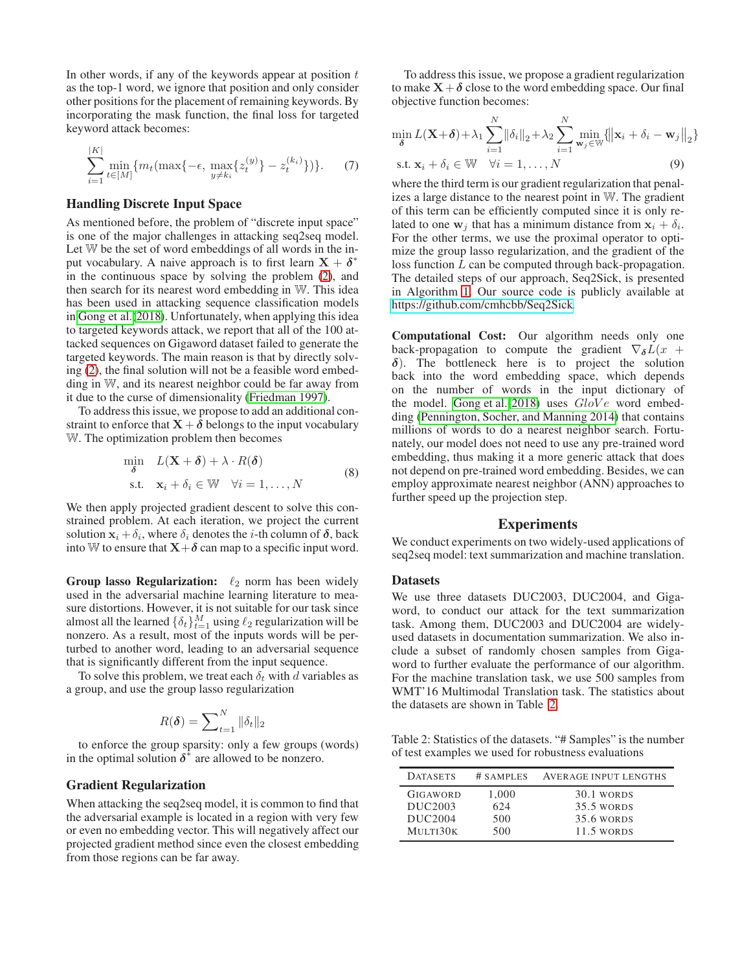In other words, if any of the keywords appear at position  $t$ as the top-1 word, we ignore that position and only consider other positions for the placement of remaining keywords. By incorporating the mask function, the final loss for targeted keyword attack becomes:

<span id="page-3-2"></span>
$$
\sum_{i=1}^{|K|} \min_{t \in [M]} \{ m_t(\max\{-\epsilon, \max_{y \neq k_i} \{z_t^{(y)}\} - z_t^{(k_i)}\}) \}.
$$
 (7)

#### Handling Discrete Input Space

As mentioned before, the problem of "discrete input space" is one of the major challenges in attacking seq2seq model. Let W be the set of word embeddings of all words in the input vocabulary. A naive approach is to first learn  $X + \delta^*$ in the continuous space by solving the problem [\(2\)](#page-1-0), and then search for its nearest word embedding in W. This idea has been used in attacking sequence classification models in [Gong et al.\(2018\)](#page-7-15). Unfortunately, when applying this idea to targeted keywords attack, we report that all of the 100 attacked sequences on Gigaword dataset failed to generate the targeted keywords. The main reason is that by directly solving [\(2\)](#page-1-0), the final solution will not be a feasible word embedding in W, and its nearest neighbor could be far away from it due to the curse of dimensionality [\(Friedman 1997\)](#page-7-16).

To address this issue, we propose to add an additional constraint to enforce that  $X + \delta$  belongs to the input vocabulary W. The optimization problem then becomes

$$
\min_{\delta} L(\mathbf{X} + \delta) + \lambda \cdot R(\delta)
$$
  
s.t.  $\mathbf{x}_i + \delta_i \in \mathbb{W} \quad \forall i = 1, ..., N$  (8)

We then apply projected gradient descent to solve this constrained problem. At each iteration, we project the current solution  $\mathbf{x}_i + \delta_i$ , where  $\delta_i$  denotes the *i*-th column of  $\delta$ , back into W to ensure that  $X+\delta$  can map to a specific input word.

Group lasso Regularization:  $\ell_2$  norm has been widely used in the adversarial machine learning literature to measure distortions. However, it is not suitable for our task since almost all the learned  $\{\delta_t\}_{t=1}^M$  using  $\ell_2$  regularization will be nonzero. As a result, most of the inputs words will be perturbed to another word, leading to an adversarial sequence that is significantly different from the input sequence.

To solve this problem, we treat each  $\delta_t$  with d variables as a group, and use the group lasso regularization

$$
R(\boldsymbol{\delta}) = \sum\nolimits_{t=1}^{N} \|\delta_t\|_2
$$

to enforce the group sparsity: only a few groups (words) in the optimal solution  $\delta^*$  are allowed to be nonzero.

# Gradient Regularization

When attacking the seq2seq model, it is common to find that the adversarial example is located in a region with very few or even no embedding vector. This will negatively affect our projected gradient method since even the closest embedding from those regions can be far away.

To address this issue, we propose a gradient regularization to make  $X + \delta$  close to the word embedding space. Our final objective function becomes:

<span id="page-3-1"></span>
$$
\min_{\delta} L(\mathbf{X}+\delta) + \lambda_1 \sum_{i=1}^{N} ||\delta_i||_2 + \lambda_2 \sum_{i=1}^{N} \min_{\mathbf{w}_j \in \mathbb{W}} \{ ||\mathbf{x}_i + \delta_i - \mathbf{w}_j||_2 \}
$$
  
s.t.  $\mathbf{x}_i + \delta_i \in \mathbb{W} \quad \forall i = 1, ..., N$  (9)

where the third term is our gradient regularization that penalizes a large distance to the nearest point in W. The gradient of this term can be efficiently computed since it is only related to one  $w_j$  that has a minimum distance from  $x_i + \delta_i$ . For the other terms, we use the proximal operator to optimize the group lasso regularization, and the gradient of the loss function L can be computed through back-propagation. The detailed steps of our approach, Seq2Sick, is presented in Algorithm [1.](#page-4-0) Our source code is publicly available at [https://github.com/cmhcbb/Seq2Sick.](https://github.com/cmhcbb/Seq2Sick)

Computational Cost: Our algorithm needs only one back-propagation to compute the gradient  $\nabla_{\delta}L(x +$  $\delta$ ). The bottleneck here is to project the solution back into the word embedding space, which depends on the number of words in the input dictionary of the model. [Gong et al.\(2018\)](#page-7-15) uses  $GloVe$  word embedding [\(Pennington, Socher, and Manning 2014\)](#page-7-17) that contains millions of words to do a nearest neighbor search. Fortunately, our model does not need to use any pre-trained word embedding, thus making it a more generic attack that does not depend on pre-trained word embedding. Besides, we can employ approximate nearest neighbor (ANN) approaches to further speed up the projection step.

#### Experiments

We conduct experiments on two widely-used applications of seq2seq model: text summarization and machine translation.

## **Datasets**

We use three datasets DUC2003, DUC2004, and Gigaword, to conduct our attack for the text summarization task. Among them, DUC2003 and DUC2004 are widelyused datasets in documentation summarization. We also include a subset of randomly chosen samples from Gigaword to further evaluate the performance of our algorithm. For the machine translation task, we use 500 samples from WMT'16 Multimodal Translation task. The statistics about the datasets are shown in Table [2.](#page-3-0)

Table 2: Statistics of the datasets. "# Samples" is the number of test examples we used for robustness evaluations

<span id="page-3-0"></span>

| <b>DATASETS</b>     | # SAMPLES | <b>AVERAGE INPUT LENGTHS</b> |
|---------------------|-----------|------------------------------|
| GIGAWORD            | 1,000     | 30.1 WORDS                   |
| DUC <sub>2003</sub> | 624       | <b>35.5 WORDS</b>            |
| DUC2004             | 500       | <b>35.6 WORDS</b>            |
| MULTI30K            | 500       | 11.5 WORDS                   |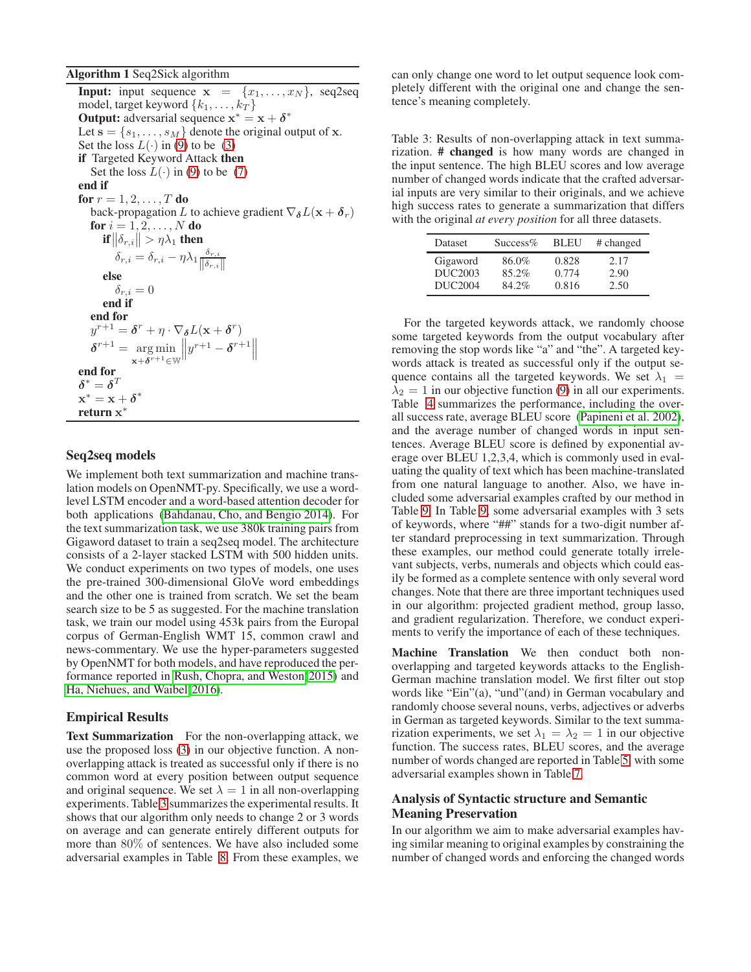#### <span id="page-4-0"></span>Algorithm 1 Seq2Sick algorithm

**Input:** input sequence  $x = \{x_1, \ldots, x_N\}$ , seq2seq model, target keyword  $\{k_1, \ldots, k_T\}$ **Output:** adversarial sequence  $x^* = x + \delta^*$ Let  $\mathbf{s} = \{s_1, \ldots, s_M\}$  denote the original output of x. Set the loss  $L(\cdot)$  in [\(9\)](#page-3-1) to be [\(3\)](#page-2-2) if Targeted Keyword Attack then Set the loss  $L(\cdot)$  in [\(9\)](#page-3-1) to be [\(7\)](#page-3-2) end if for  $r = 1, 2, ..., T$  do back-propagation L to achieve gradient  $\nabla_{\delta}L(\mathbf{x} + \delta_r)$ for  $i=1,2,\ldots,N$  do if  $\|\delta_{r,i}\| > \eta\lambda_1$  then  $\delta_{r,i} = \delta_{r,i} - \eta \lambda_1 \frac{\delta_{r,i}}{\|\mathcal{S}\|}$  $\|\delta_{r,i}\|$ else  $\delta_{r,i}=0$ end if end for  $y^{r+1} = \boldsymbol{\delta}^r + \eta \cdot \nabla_{\boldsymbol{\delta}} L(\mathbf{x} + \boldsymbol{\delta}^r)$  $\delta^{r+1} = \arg \min$  $\mathbf{x}+\boldsymbol{\delta}^{r+1}$ ∈W  $||y^{r+1}-\boldsymbol{\delta}^{r+1}||$ end for  $\pmb{\delta}^* = \pmb{\delta}^T$  $\mathbf{x}^* = \mathbf{x} + \boldsymbol{\delta}^*$ return x ∗

# Seq2seq models

We implement both text summarization and machine translation models on OpenNMT-py. Specifically, we use a wordlevel LSTM encoder and a word-based attention decoder for both applications [\(Bahdanau, Cho, and Bengio 2014\)](#page-7-1). For the text summarization task, we use 380k training pairs from Gigaword dataset to train a seq2seq model. The architecture consists of a 2-layer stacked LSTM with 500 hidden units. We conduct experiments on two types of models, one uses the pre-trained 300-dimensional GloVe word embeddings and the other one is trained from scratch. We set the beam search size to be 5 as suggested. For the machine translation task, we train our model using 453k pairs from the Europal corpus of German-English WMT 15, common crawl and news-commentary. We use the hyper-parameters suggested by OpenNMT for both models, and have reproduced the performance reported in [Rush, Chopra, and Weston\(2015\)](#page-7-2) and [Ha, Niehues, and Waibel\(2016\)](#page-7-18).

# Empirical Results

Text Summarization For the non-overlapping attack, we use the proposed loss [\(3\)](#page-2-2) in our objective function. A nonoverlapping attack is treated as successful only if there is no common word at every position between output sequence and original sequence. We set  $\lambda = 1$  in all non-overlapping experiments. Table [3](#page-4-1) summarizes the experimental results. It shows that our algorithm only needs to change 2 or 3 words on average and can generate entirely different outputs for more than 80% of sentences. We have also included some adversarial examples in Table [8.](#page-6-0) From these examples, we

can only change one word to let output sequence look completely different with the original one and change the sentence's meaning completely.

<span id="page-4-1"></span>Table 3: Results of non-overlapping attack in text summarization. # changed is how many words are changed in the input sentence. The high BLEU scores and low average number of changed words indicate that the crafted adversarial inputs are very similar to their originals, and we achieve high success rates to generate a summarization that differs with the original *at every position* for all three datasets.

| Dataset                         | $Success\%$    | <b>BLEU</b>    | # changed    |
|---------------------------------|----------------|----------------|--------------|
| Gigaword<br>DUC <sub>2003</sub> | 86.0%<br>85.2% | 0.828<br>0.774 | 2.17         |
| DUC2004                         | 84.2%          | 0.816          | 2.90<br>2.50 |

For the targeted keywords attack, we randomly choose some targeted keywords from the output vocabulary after removing the stop words like "a" and "the". A targeted keywords attack is treated as successful only if the output sequence contains all the targeted keywords. We set  $\lambda_1$  =  $\lambda_2 = 1$  in our objective function [\(9\)](#page-3-1) in all our experiments. Table [4](#page-5-0) summarizes the performance, including the overall success rate, average BLEU score [\(Papineni et al. 2002\)](#page-7-19), and the average number of changed words in input sentences. Average BLEU score is defined by exponential average over BLEU 1,2,3,4, which is commonly used in evaluating the quality of text which has been machine-translated from one natural language to another. Also, we have included some adversarial examples crafted by our method in Table [9.](#page-6-1) In Table [9,](#page-6-1) some adversarial examples with 3 sets of keywords, where "##" stands for a two-digit number after standard preprocessing in text summarization. Through these examples, our method could generate totally irrelevant subjects, verbs, numerals and objects which could easily be formed as a complete sentence with only several word changes. Note that there are three important techniques used in our algorithm: projected gradient method, group lasso, and gradient regularization. Therefore, we conduct experiments to verify the importance of each of these techniques.

Machine Translation We then conduct both nonoverlapping and targeted keywords attacks to the English-German machine translation model. We first filter out stop words like "Ein"(a), "und"(and) in German vocabulary and randomly choose several nouns, verbs, adjectives or adverbs in German as targeted keywords. Similar to the text summarization experiments, we set  $\lambda_1 = \lambda_2 = 1$  in our objective function. The success rates, BLEU scores, and the average number of words changed are reported in Table [5,](#page-5-1) with some adversarial examples shown in Table [7.](#page-6-2)

# Analysis of Syntactic structure and Semantic Meaning Preservation

In our algorithm we aim to make adversarial examples having similar meaning to original examples by constraining the number of changed words and enforcing the changed words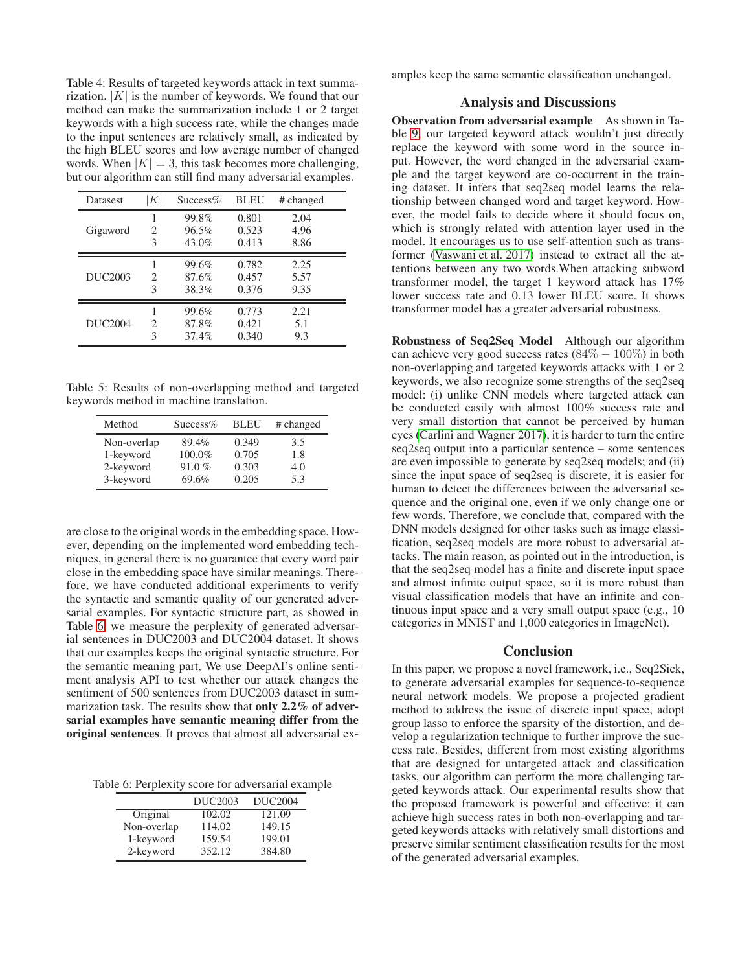<span id="page-5-0"></span>Table 4: Results of targeted keywords attack in text summarization.  $|K|$  is the number of keywords. We found that our method can make the summarization include 1 or 2 target keywords with a high success rate, while the changes made to the input sentences are relatively small, as indicated by the high BLEU scores and low average number of changed words. When  $|K| = 3$ , this task becomes more challenging, but our algorithm can still find many adversarial examples.

| <b>Datasest</b>     | K | $Success\%$ | <b>BLEU</b> | # changed |
|---------------------|---|-------------|-------------|-----------|
|                     |   | 99.8%       | 0.801       | 2.04      |
| Gigaword            | 2 | 96.5%       | 0.523       | 4.96      |
|                     | 3 | $43.0\%$    | 0.413       | 8.86      |
|                     |   | 99.6%       | 0.782       | 2.25      |
| DUC <sub>2003</sub> | 2 | 87.6%       | 0.457       | 5.57      |
|                     | 3 | 38.3%       | 0.376       | 9.35      |
|                     |   | 99.6%       | 0.773       | 2.21      |
| DUC2004             | 2 | 87.8%       | 0.421       | 5.1       |
|                     | 3 | 37.4%       | 0.340       | 9.3       |

Table 5: Results of non-overlapping method and targeted keywords method in machine translation.

<span id="page-5-1"></span>

| Method      | $Success\%$ | <b>BLEU</b> | # changed |
|-------------|-------------|-------------|-----------|
| Non-overlap | 89.4%       | 0.349       | 3.5       |
| 1-keyword   | 100.0%      | 0.705       | 1.8       |
| 2-keyword   | 91.0%       | 0.303       | 4.0       |
| 3-keyword   | 69.6%       | 0.205       | 5.3       |

are close to the original words in the embedding space. However, depending on the implemented word embedding techniques, in general there is no guarantee that every word pair close in the embedding space have similar meanings. Therefore, we have conducted additional experiments to verify the syntactic and semantic quality of our generated adversarial examples. For syntactic structure part, as showed in Table [6,](#page-5-2) we measure the perplexity of generated adversarial sentences in DUC2003 and DUC2004 dataset. It shows that our examples keeps the original syntactic structure. For the semantic meaning part, We use DeepAI's online sentiment analysis API to test whether our attack changes the sentiment of 500 sentences from DUC2003 dataset in summarization task. The results show that only 2.2% of adversarial examples have semantic meaning differ from the original sentences. It proves that almost all adversarial ex-

Table 6: Perplexity score for adversarial example

<span id="page-5-2"></span>

|             | DUC <sub>2003</sub> | <b>DUC2004</b> |
|-------------|---------------------|----------------|
| Original    | 102.02              | 121.09         |
| Non-overlap | 114.02              | 149.15         |
| 1-keyword   | 159.54              | 199.01         |
| 2-keyword   | 352.12              | 384.80         |

amples keep the same semantic classification unchanged.

# Analysis and Discussions

Observation from adversarial example As shown in Table [9,](#page-6-1) our targeted keyword attack wouldn't just directly replace the keyword with some word in the source input. However, the word changed in the adversarial example and the target keyword are co-occurrent in the training dataset. It infers that seq2seq model learns the relationship between changed word and target keyword. However, the model fails to decide where it should focus on, which is strongly related with attention layer used in the model. It encourages us to use self-attention such as transformer [\(Vaswani et al. 2017\)](#page-7-20) instead to extract all the attentions between any two words.When attacking subword transformer model, the target 1 keyword attack has 17% lower success rate and 0.13 lower BLEU score. It shows transformer model has a greater adversarial robustness.

Robustness of Seq2Seq Model Although our algorithm can achieve very good success rates  $(84\% - 100\%)$  in both non-overlapping and targeted keywords attacks with 1 or 2 keywords, we also recognize some strengths of the seq2seq model: (i) unlike CNN models where targeted attack can be conducted easily with almost 100% success rate and very small distortion that cannot be perceived by human eyes [\(Carlini and Wagner 2017\)](#page-7-21), it is harder to turn the entire seq2seq output into a particular sentence – some sentences are even impossible to generate by seq2seq models; and (ii) since the input space of seq2seq is discrete, it is easier for human to detect the differences between the adversarial sequence and the original one, even if we only change one or few words. Therefore, we conclude that, compared with the DNN models designed for other tasks such as image classification, seq2seq models are more robust to adversarial attacks. The main reason, as pointed out in the introduction, is that the seq2seq model has a finite and discrete input space and almost infinite output space, so it is more robust than visual classification models that have an infinite and continuous input space and a very small output space (e.g., 10 categories in MNIST and 1,000 categories in ImageNet).

#### Conclusion

In this paper, we propose a novel framework, i.e., Seq2Sick, to generate adversarial examples for sequence-to-sequence neural network models. We propose a projected gradient method to address the issue of discrete input space, adopt group lasso to enforce the sparsity of the distortion, and develop a regularization technique to further improve the success rate. Besides, different from most existing algorithms that are designed for untargeted attack and classification tasks, our algorithm can perform the more challenging targeted keywords attack. Our experimental results show that the proposed framework is powerful and effective: it can achieve high success rates in both non-overlapping and targeted keywords attacks with relatively small distortions and preserve similar sentiment classification results for the most of the generated adversarial examples.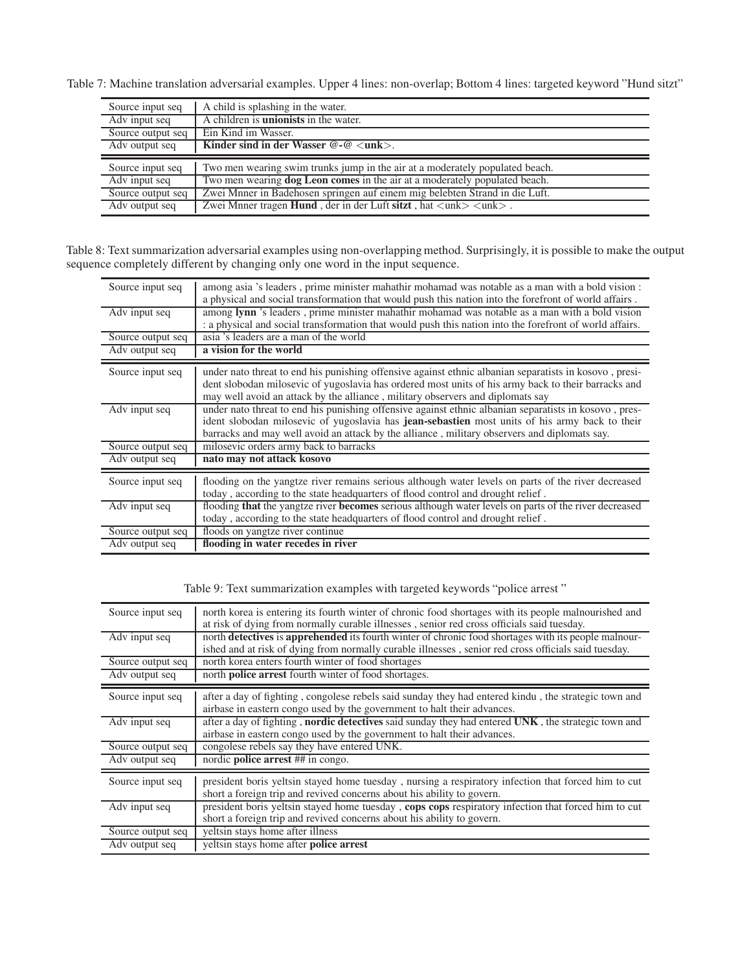Table 7: Machine translation adversarial examples. Upper 4 lines: non-overlap; Bottom 4 lines: targeted keyword "Hund sitzt"

<span id="page-6-2"></span>

| Source input seq  | A child is splashing in the water.                                                                                                                                                  |
|-------------------|-------------------------------------------------------------------------------------------------------------------------------------------------------------------------------------|
| Adv input seq     | A children is <b>unionists</b> in the water.                                                                                                                                        |
| Source output seq | Ein Kind im Wasser.                                                                                                                                                                 |
| Adv output seq    | Kinder sind in der Wasser $@$ - $@$ $<$ unk $>$ .                                                                                                                                   |
|                   |                                                                                                                                                                                     |
|                   |                                                                                                                                                                                     |
| Source input seq  | Two men wearing swim trunks jump in the air at a moderately populated beach.                                                                                                        |
| Adv input seq     | Two men wearing <b>dog Leon comes</b> in the air at a moderately populated beach.                                                                                                   |
| Source output seq | Zwei Mnner in Badehosen springen auf einem mig belebten Strand in die Luft.<br>Zwei Mnner tragen Hund, der in der Luft sitzt, hat $\langle$ unk $\rangle$ $\langle$ unk $\rangle$ . |

Table 8: Text summarization adversarial examples using non-overlapping method. Surprisingly, it is possible to make the output sequence completely different by changing only one word in the input sequence.

<span id="page-6-0"></span>

| Source input seq  | among asia 's leaders, prime minister mahathir mohamad was notable as a man with a bold vision :<br>a physical and social transformation that would push this nation into the forefront of world affairs.                                                                                               |
|-------------------|---------------------------------------------------------------------------------------------------------------------------------------------------------------------------------------------------------------------------------------------------------------------------------------------------------|
| Adv input seq     | among lynn 's leaders, prime minister mahathir mohamad was notable as a man with a bold vision<br>: a physical and social transformation that would push this nation into the forefront of world affairs.                                                                                               |
| Source output seq | asia 's leaders are a man of the world                                                                                                                                                                                                                                                                  |
| Adv output seq    | a vision for the world                                                                                                                                                                                                                                                                                  |
| Source input seq  | under nato threat to end his punishing offensive against ethnic albanian separatists in kosovo, presi-<br>dent slobodan milosevic of yugoslavia has ordered most units of his army back to their barracks and<br>may well avoid an attack by the alliance, military observers and diplomats say         |
| Adv input seq     | under nato threat to end his punishing offensive against ethnic albanian separatists in kosovo, pres-<br>ident slobodan milosevic of yugoslavia has jean-sebastien most units of his army back to their<br>barracks and may well avoid an attack by the alliance, military observers and diplomats say. |
| Source output seq | milosevic orders army back to barracks                                                                                                                                                                                                                                                                  |
| Adv output seq    | nato may not attack kosovo                                                                                                                                                                                                                                                                              |
| Source input seq  | flooding on the yangtze river remains serious although water levels on parts of the river decreased<br>today, according to the state headquarters of flood control and drought relief.                                                                                                                  |
| Adv input seq     | flooding that the yangtze river becomes serious although water levels on parts of the river decreased<br>today, according to the state headquarters of flood control and drought relief.                                                                                                                |
| Source output seq | floods on yangtze river continue                                                                                                                                                                                                                                                                        |
| Adv output seq    | flooding in water recedes in river                                                                                                                                                                                                                                                                      |

| Source input seq  | north korea is entering its fourth winter of chronic food shortages with its people malnourished and<br>at risk of dying from normally curable illnesses, senior red cross officials said tuesday.           |
|-------------------|--------------------------------------------------------------------------------------------------------------------------------------------------------------------------------------------------------------|
| Adv input seq     | north detectives is apprehended its fourth winter of chronic food shortages with its people malnour-<br>ished and at risk of dying from normally curable illnesses, senior red cross officials said tuesday. |
| Source output seq | north korea enters fourth winter of food shortages                                                                                                                                                           |
| Adv output seq    | north <b>police arrest</b> fourth winter of food shortages.                                                                                                                                                  |
| Source input seq  | after a day of fighting, congolese rebels said sunday they had entered kindu, the strategic town and<br>airbase in eastern congo used by the government to halt their advances.                              |
| Adv input seq     | after a day of fighting, <b>nordic detectives</b> said sunday they had entered UNK, the strategic town and<br>airbase in eastern congo used by the government to halt their advances.                        |
| Source output seq | congolese rebels say they have entered UNK.                                                                                                                                                                  |
| Adv output seq    | nordic <b>police</b> arrest ## in congo.                                                                                                                                                                     |
| Source input seq  | president boris yeltsin stayed home tuesday, nursing a respiratory infection that forced him to cut<br>short a foreign trip and revived concerns about his ability to govern.                                |
| Adv input seq     | president boris yelts in stayed home tuesday, cops cops respiratory infection that forced him to cut                                                                                                         |
|                   | short a foreign trip and revived concerns about his ability to govern.                                                                                                                                       |
| Source output seq | veltsin stays home after illness                                                                                                                                                                             |
| Adv output seq    | veltsin stays home after <b>police arrest</b>                                                                                                                                                                |

<span id="page-6-1"></span>Table 9: Text summarization examples with targeted keywords "police arrest "